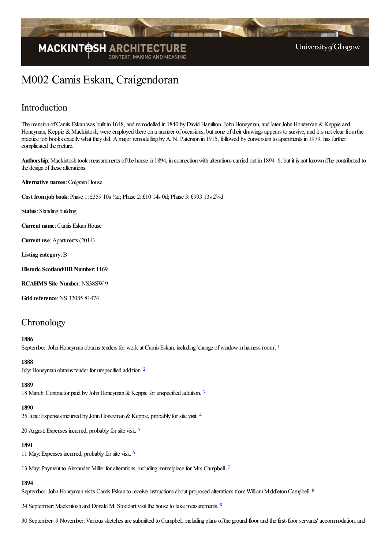

# M002 Camis Eskan, Craigendoran

# Introduction

The mansion of Camis Eskan was built in 1648, and remodelled in 1840 by David Hamilton. John Honeyman, and later John Honeyman & Keppie and Honeyman, Keppie & Mackintosh, were employed there on a number of occasions, but none of their drawings appears to survive, and it is not clear from the practice job books exactly what they did. A major remodelling by A. N. Paterson in 1915, followed by conversion to apartments in 1979, has further complicated the picture.

Authorship: Mackintosh took measurements of the house in 1894, in connection with alterations carried out in 1894–6, but it is not known if he contributed to the design of these alterations.

**Alternative names: Colgrain House.** 

**Cost fromjob book**:Phase 1: £359 10s ½d; Phase 2: £10 14s 0d; Phase 3: £993 13s 2¾d

**Status**: Standing building

**Current name**:Camis EskanHouse

**Current use**:Apartments (2014)

Listing **category**: B

**Historic Scotland/HB Number**: 1169

**RCAHMS** Site **Number**: NS38SW 9

**Grid reference**:NS 32085 81474

# **Chronology**

#### <span id="page-0-0"></span>**1886**

September: John Honeyman obtains tenders for work at Camis Eskan, including 'change of window in harness room'. <sup>[1](#page-4-0)</sup>

#### <span id="page-0-1"></span>**1888**

July: Honeyman obtains tender for unspecified addition. <sup>[2](#page-4-1)</sup>

#### **1889**

<span id="page-0-2"></span>18 March: Contractor paid by John Honeyman & Keppie for unspecified addition. <sup>[3](#page-5-0)</sup>

#### <span id="page-0-3"></span>**1890**

25 June: Expenses incurred by John Honeyman & Keppie, probably for site visit. <sup>[4](#page-5-1)</sup>

20 August: Expenses incurred, probably for site visit. <sup>[5](#page-5-2)</sup>

### <span id="page-0-4"></span>**1891**

<span id="page-0-5"></span>11 May:Expenses incurred, probably for site visit. [6](#page-5-3)

<span id="page-0-6"></span>13 May: Payment to Alexander Miller for alterations, including mantelpiece for Mrs Campbell. [7](#page-5-4)

### <span id="page-0-7"></span>**1894**

September: John Honeyman visits Camis Eskan to receive instructions about proposed alterations from William Middleton Campbell. <sup>[8](#page-5-5)</sup>

<span id="page-0-8"></span>24 September: Mackintosh and Donald M. Stoddart visit the house to take measurements. <sup>[9](#page-5-6)</sup>

30 September–9 November: Various sketches are submitted to Campbell, including plans of the ground floor and the first-floor servants' accommodation, and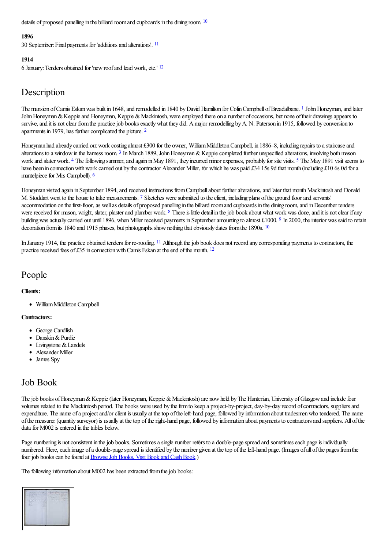<span id="page-1-0"></span>details of proposed panelling in the billiard room and cupboards in the dining room. <sup>[10](#page-5-7)</sup>

#### <span id="page-1-1"></span>**1896**

30 September: Final payments for 'additions and alterations'. <sup>[11](#page-5-8)</sup>

#### <span id="page-1-2"></span>**1914**

6 January: Tenders obtained for 'new roof and lead work, etc.' [12](#page-5-9)

# Description

<span id="page-1-3"></span>The mansion of Camis Eskan was built in [1](#page-5-10)648, and remodelled in 1840 by David Hamilton for Colin Campbell of Breadalbane. <sup>1</sup> John Honeyman, and later John Honeyman & Keppie and Honeyman, Keppie & Mackintosh, were employed there on a number of occasions, but none of their drawings appears to survive, and it is not clear from the practice job books exactly what they did. A major remodelling by A. N. Paterson in 1915, followed by conversion to apartments in 1979, has further complicated the picture. <sup>[2](#page-5-11)</sup>

<span id="page-1-7"></span><span id="page-1-6"></span><span id="page-1-5"></span><span id="page-1-4"></span>Honeyman had already carried out work costing almost £300 for the owner, William Middleton Campbell, in 1886–8, including repairs to a staircase and alterations to a window in the harness room.<sup>[3](#page-5-12)</sup> In March 1889, John Honeyman & Keppie completed further unspecified alterations, involving both mason work and slater work. <sup>[4](#page-5-13)</sup> The following summer, and again in May 1891, they incurred minor expenses, probably for site visits. <sup>[5](#page-5-14)</sup> The May 1891 visit seems to have been in connection with work carried out by the contractor Alexander Miller, for which he was paid £34 15s 9d that month (including £10 6s 0d for a mantelpiece for Mrs Campbell). <sup>[6](#page-5-15)</sup>

<span id="page-1-10"></span><span id="page-1-9"></span><span id="page-1-8"></span>Honeyman visited again in September 1894, and received instructions from Campbell about further alterations, and later that month Mackintosh and Donald M. Stoddart went to the house to take measurements. <sup>[7](#page-5-16)</sup> Sketches were submitted to the client, including plans of the ground floor and servants' accommodation on the first-floor, as well as details of proposed panelling in the billiard room and cupboards in the dining room, and in December tenders were received for mason, wright, slater, plaster and plumber work. <sup>[8](#page-5-17)</sup> There is little detail in the job book about what work was done, and it is not clear if any building was actually carried out until 18[9](#page-5-18)6, when Miller received payments in September amounting to almost £1000. 9 In 2000, the interior was said to retain decoration from its 1840 and 1915 phases, but photographs show nothing that obviously dates from the 1890s. <sup>[10](#page-5-19)</sup>

<span id="page-1-13"></span><span id="page-1-12"></span><span id="page-1-11"></span>In January 1914, the practice obtained tenders for re-roofing. <sup>[11](#page-5-20)</sup> Although the job book does not record any corresponding payments to contractors, the practice received fees of £35 in connection with Camis Eskan at the end of the month.  $12$ 

# People

#### **Clients:**

<span id="page-1-14"></span>• William Middleton Campbell

#### **Contractors:**

- George Candlish
- Danskin & Purdie
- Livingstone & Landels
- Alexander Miller
- James Spy

# Job Book

The job books of Honeyman & Keppie (later Honeyman, Keppie & Mackintosh) are now held by The Hunterian, University of Glasgow and include four volumes related to the Mackintosh period. The books were used by the firm to keep a project-by-project, day-by-day record of contractors, suppliers and expenditure. The name of a project and/or client is usually at the top of the left-hand page, followed by information about tradesmen who tendered. The name ofthe measurer (quantity surveyor) is usually at thetop oftheright-hand page, followed by information about payments to contractorsand suppliers. All ofthe data for M002 is entered in the tables below.

Page numbering is not consistent in the job books. Sometimes a single number refers to a double-page spread and sometimes each page is individually numbered. Here, each image of a double-page spread is identified by the number given at the top of the left-hand page. (Images of all of the pages from the four job books can be found at **Browse Job Books**, Visit Book and Cash Book.)

The following information about M002 has been extracted from the job books:

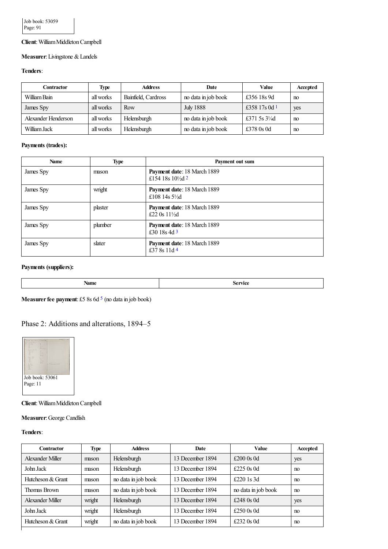### **Client**:WilliamMiddletonCampbell

#### **Measurer:** Livingstone & Landels

#### **Tenders**:

<span id="page-2-0"></span>

| <b>Contractor</b>   | <b>Type</b> | <b>Address</b>      | Date                | <b>Value</b>             | <b>Accepted</b> |
|---------------------|-------------|---------------------|---------------------|--------------------------|-----------------|
| William Bain        | all works   | Bainfield, Cardross | no data in job book | £356 18s 9d              | no              |
| James Spy           | all works   | Row                 | <b>July 1888</b>    | £358 17s 0d 1            | yes             |
| Alexander Henderson | all works   | Helensburgh         | no data in job book | £371 5s $3\frac{1}{4}$ d | no              |
| William Jack        | all works   | Helensburgh         | no data in job book | £378 0s 0d               | no              |

#### **Payments (trades):**

<span id="page-2-1"></span>

| <b>Name</b> | <b>Type</b> | Payment out sum                                            |
|-------------|-------------|------------------------------------------------------------|
| James Spy   | mason       | Payment date: 18 March 1889<br>£154 18s $10\frac{1}{2}d$ 2 |
| James Spy   | wright      | Payment date: 18 March 1889<br>£108 14s $5\frac{1}{2}$ d   |
| James Spy   | plaster     | Payment date: 18 March 1889<br>£22 0s $11\frac{1}{2}$ d    |
| James Spy   | plumber     | Payment date: 18 March 1889<br>£30 18s 4d $3$              |
| James Spy   | slater      | Payment date: 18 March 1889<br>£37 8s 11d 4                |

#### <span id="page-2-3"></span><span id="page-2-2"></span>**Payments (suppliers):**

| $- - -$<br>ханк | T |
|-----------------|---|
|                 |   |

<span id="page-2-4"></span>**Measurer fee payment:** £[5](#page-5-26) 8s 6d <sup>5</sup> (no data in job book)

### Phase 2: Additions and alterations, 1894–5



**Client**:WilliamMiddletonCampbell

**Measurer**:George Candlish

**Tenders**:

| <b>Type</b> | <b>Address</b>      | <b>Date</b>      | <b>Value</b>        | Accepted |
|-------------|---------------------|------------------|---------------------|----------|
| mason       | Helensburgh         | 13 December 1894 | £200 $0s$ 0d        | yes      |
| mason       | Helensburgh         | 13 December 1894 | £225 $0s$ 0d        | no       |
| mason       | no data in job book | 13 December 1894 | £220 $1s$ 3d        | no       |
| mason       | no data in job book | 13 December 1894 | no data in job book | no       |
| wright      | Helensburgh         | 13 December 1894 | £248 $0s$ 0d        | yes      |
| wright      | Helensburgh         | 13 December 1894 | £250 $0s$ 0d        | no       |
| wright      | no data in job book | 13 December 1894 | £232 $0s$ 0d        | no       |
|             |                     |                  |                     |          |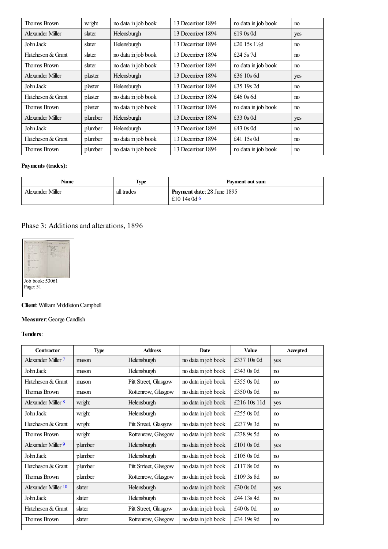| <b>Thomas Brown</b> | wright  | no data in job book | 13 December 1894 | no data in job book      | no  |
|---------------------|---------|---------------------|------------------|--------------------------|-----|
| Alexander Miller    | slater  | Helensburgh         | 13 December 1894 | £19 $0s$ 0d              | yes |
| John Jack           | slater  | Helensburgh         | 13 December 1894 | £20 15s $1\frac{1}{2}$ d | no  |
| Hutcheson & Grant   | slater  | no data in job book | 13 December 1894 | £24.5s.7d                | no  |
| <b>Thomas Brown</b> | slater  | no data in job book | 13 December 1894 | no data in job book      | no  |
| Alexander Miller    | plaster | Helensburgh         | 13 December 1894 | £36 $10s$ 6d             | yes |
| John Jack           | plaster | Helensburgh         | 13 December 1894 | £35 19s 2d               | no  |
| Hutcheson & Grant   | plaster | no data in job book | 13 December 1894 | £46 $0s$ 6d              | no  |
| <b>Thomas Brown</b> | plaster | no data in job book | 13 December 1894 | no data in job book      | no  |
| Alexander Miller    | plumber | Helensburgh         | 13 December 1894 | £33 $0s$ 0d              | yes |
| John Jack           | plumber | Helensburgh         | 13 December 1894 | £43 $0s$ 0d              | no  |
| Hutcheson & Grant   | plumber | no data in job book | 13 December 1894 | £41 15s 0d               | no  |
| Thomas Brown        | plumber | no data in job book | 13 December 1894 | no data in job book      | no  |

### **Payments (trades):**

<span id="page-3-0"></span>

| Name             | Type       | Payment out sum                                   |
|------------------|------------|---------------------------------------------------|
| Alexander Miller | all trades | <b>Payment date: 28 June 1895</b><br>£10 14s 0d 6 |

# Phase 3: Additions and alterations, 1896



# **Client**:WilliamMiddletonCampbell

# **Measurer**:George Candlish

**Tenders**:

<span id="page-3-4"></span><span id="page-3-3"></span><span id="page-3-2"></span><span id="page-3-1"></span>

| <b>Contractor</b>   | <b>Type</b> | <b>Address</b>        | <b>Date</b>         | <b>Value</b> | Accepted       |
|---------------------|-------------|-----------------------|---------------------|--------------|----------------|
| Alexander Miller 7  | mason       | Helensburgh           | no data in job book | £337 10s 0d  | yes            |
| John Jack           | mason       | Helensburgh           | no data in job book | £343 0s 0d   | no             |
| Hutcheson & Grant   | mason       | Pitt Street, Glasgow  | no data in job book | £355 0s 0d   | no             |
| <b>Thomas Brown</b> | mason       | Rottenrow, Glasgow    | no data in job book | £350 0s 0d   | no             |
| Alexander Miller 8  | wright      | Helensburgh           | no data in job book | £216 10s 11d | yes            |
| John Jack           | wright      | Helensburgh           | no data in job book | £255 0s 0d   | no             |
| Hutcheson & Grant   | wright      | Pitt Street, Glasgow  | no data in job book | £237 9s 3d   | n <sub>0</sub> |
| <b>Thomas Brown</b> | wright      | Rottenrow, Glasgow    | no data in job book | £238 9s 5d   | no             |
| Alexander Miller 9  | plumber     | Helensburgh           | no data in job book | £101 $0s$ 0d | yes            |
| John Jack           | plumber     | Helensburgh           | no data in job book | £105 0s 0d   | no             |
| Hutcheson & Grant   | plumber     | Pitt Strteet, Glasgow | no data in job book | £1178s0d     | no             |
| <b>Thomas Brown</b> | plumber     | Rottenrow, Glasgow    | no data in job book | £109 3s 8d   | n <sub>0</sub> |
| Alexander Miller 10 | slater      | Helensburgh           | no data in job book | £30 $0s$ 0d  | yes            |
| John Jack           | slater      | Helensburgh           | no data in job book | £44 13s 4d   | no             |
| Hutcheson & Grant   | slater      | Pitt Street, Glasgow  | no data in job book | £40 $0s$ 0d  | n <sub>0</sub> |
| Thomas Brown        | slater      | Rottenrow, Glasgow    | no data in job book | £34 19s 9d   | no             |
|                     |             |                       |                     |              |                |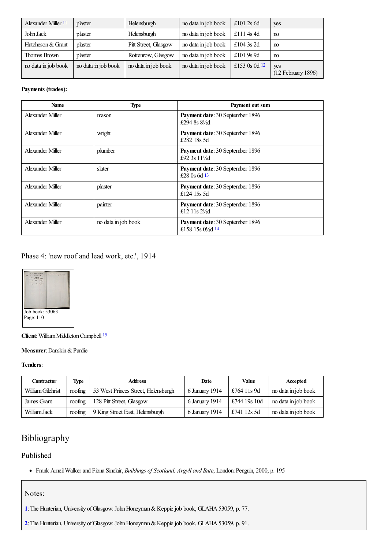<span id="page-4-2"></span>

| Alexander Miller 11 | plaster             | Helensburgh          | no data in job book | £101 2s $6d$  | yes                         |
|---------------------|---------------------|----------------------|---------------------|---------------|-----------------------------|
| John Jack           | plaster             | Helensburgh          | no data in job book | £1114s4d      | no                          |
| Hutcheson & Grant   | plaster             | Pitt Street, Glasgow | no data in job book | £104 3s 2d    | no                          |
| Thomas Brown        | plaster             | Rottenrow, Glasgow   | no data in job book | £101 9s 9d    | no                          |
| no data in job book | no data in job book | no data in job book  | no data in job book | £153 0s 0d 12 | yes<br>$(12$ February 1896) |

### <span id="page-4-3"></span>**Payments (trades):**

<span id="page-4-4"></span>

| <b>Name</b>      | <b>Type</b>         | Payment out sum                                                   |
|------------------|---------------------|-------------------------------------------------------------------|
| Alexander Miller | mason               | Payment date: 30 September 1896<br>£294 8s $8\frac{1}{2}$ d       |
| Alexander Miller | wright              | Payment date: 30 September 1896<br>£282 18s 5d                    |
| Alexander Miller | plumber             | Payment date: 30 September 1896<br>£92 3s 111/4d                  |
| Alexander Miller | slater              | Payment date: 30 September 1896<br>£28 0s 6d $13$                 |
| Alexander Miller | plaster             | Payment date: 30 September 1896<br>£124 15s 5d                    |
| Alexander Miller | painter             | Payment date: 30 September 1896<br>£12 11s $2\frac{1}{2}$         |
| Alexander Miller | no data in job book | Payment date: 30 September 1896<br>£158 15s 01/ <sub>2</sub> d 14 |

## <span id="page-4-5"></span>Phase 4: 'new roof and lead work, etc.', 1914



<span id="page-4-6"></span>**Client**: William Middleton Campbell <sup>[15](#page-6-6)</sup>

#### **Measurer**:Danskin&Purdie

### **Tenders**:

| <b>Contractor</b> | Type    | <b>Address</b>                      | Date           | Value        | Accepted            |
|-------------------|---------|-------------------------------------|----------------|--------------|---------------------|
| William Gilchrist | roofing | 53 West Princes Street, Helensburgh | 6 January 1914 | £764 11s 9d  | no data in job book |
| James Grant       | roofing | 128 Pitt Street, Glasgow            | 6 January 1914 | £744 19s 10d | no data in job book |
| William Jack      | roofing | 9 King Street East, Helensburgh     | 6 January 1914 | £741 12s 5d  | no data in job book |

# Bibliography

### Published

Frank ArneilWalkerand Fiona Sinclair, *Buildings of Scotland: Argyll and Bute*, London:Penguin, 2000, p. 195

### Notes:

<span id="page-4-0"></span>[1](#page-0-0): The Hunterian, University of Glasgow: John Honeyman & Keppie job book, GLAHA 53059, p. 77.

<span id="page-4-1"></span>[2](#page-0-1): The Hunterian, University of Glasgow: John Honeyman & Keppie job book, GLAHA 53059, p. 91.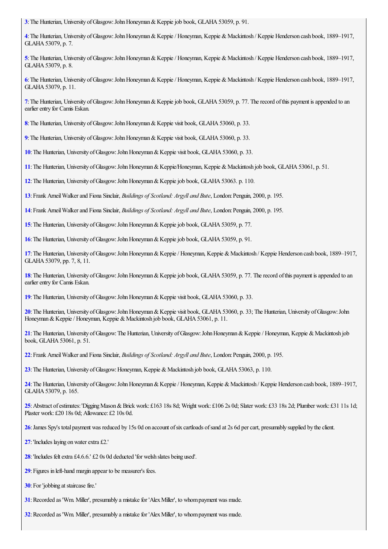<span id="page-5-0"></span>:The Hunterian, University ofGlasgow:JohnHoneyman&Keppiejob book, GLAHA53059, p. 91.

<span id="page-5-1"></span>:The Hunterian, University ofGlasgow:JohnHoneyman&Keppie/ Honeyman, Keppie &Mackintosh / Keppie Henderson cash book, 1889–1917, GLAHA 53079, p. 7.

<span id="page-5-2"></span>:The Hunterian, University ofGlasgow:JohnHoneyman&Keppie/ Honeyman, Keppie &Mackintosh / Keppie Henderson cash book, 1889–1917, GLAHA 53079, p. 8.

<span id="page-5-3"></span>:The Hunterian, University ofGlasgow:JohnHoneyman&Keppie/ Honeyman, Keppie &Mackintosh / Keppie Henderson cash book, 1889–1917, GLAHA53079, p. 11.

<span id="page-5-4"></span>: The Hunterian, University of Glasgow: John Honeyman & Keppie job book, GLAHA 53059, p. 77. The record of this payment is appended to an earlier entry for Camis Eskan.

<span id="page-5-5"></span>: The Hunterian, University of Glasgow: John Honeyman & Keppie visit book, GLAHA 53060, p. 33.

<span id="page-5-6"></span>: The Hunterian, University of Glasgow: John Honeyman & Keppie visit book, GLAHA 53060, p. 33.

<span id="page-5-7"></span>:The Hunterian, University ofGlasgow:JohnHoneyman&Keppie visit book, GLAHA53060, p. 33.

<span id="page-5-8"></span>:The Hunterian, University ofGlasgow:JohnHoneyman&Keppie/Honeyman, Keppie &Mackintosh job book, GLAHA53061, p. 51.

<span id="page-5-9"></span>:The Hunterian, University ofGlasgow:JohnHoneyman&Keppiejob book, GLAHA53063. p. 110.

<span id="page-5-10"></span>:Frank ArneilWalkerand Fiona Sinclair, *Buildings of Scotland: Argyll and Bute*, London:Penguin, 2000, p. 195.

<span id="page-5-11"></span>:Frank ArneilWalkerand Fiona Sinclair, *Buildings of Scotland: Argyll and Bute*, London:Penguin, 2000, p. 195.

<span id="page-5-12"></span>: The Hunterian, University of Glasgow: John Honeyman & Keppie job book, GLAHA 53059, p. 77.

<span id="page-5-13"></span>:The Hunterian, University ofGlasgow:JohnHoneyman&Keppiejob book, GLAHA53059, p. 91.

<span id="page-5-14"></span>:The Hunterian, University ofGlasgow:JohnHoneyman&Keppie/ Honeyman, Keppie &Mackintosh / Keppie Henderson cash book, 1889–1917, GLAHA53079, pp. 7, 8, 11.

<span id="page-5-15"></span>: The Hunterian, University of Glasgow: John Honeyman & Keppie job book, GLAHA 53059, p. 77. The record of this payment is appended to an earlier entry for Camis Eskan.

<span id="page-5-16"></span>:The Hunterian, University ofGlasgow:JohnHoneyman&Keppie visit book, GLAHA53060, p. 33.

<span id="page-5-17"></span>: The Hunterian, University of Glasgow: John Honeyman & Keppie visit book, GLAHA 53060, p. 33; The Hunterian, University of Glasgow: John Honeyman & Keppie / Honeyman, Keppie & Mackintosh job book, GLAHA 53061, p. 11.

<span id="page-5-18"></span>: The Hunterian, University of Glasgow: The Hunterian, University of Glasgow: John Honeyman & Keppie / Honeyman, Keppie & Mackintosh job book, GLAHA 53061, p. 51.

<span id="page-5-19"></span>:Frank ArneilWalkerand Fiona Sinclair, *Buildings of Scotland: Argyll and Bute*, London:Penguin, 2000, p. 195.

<span id="page-5-20"></span>: The Hunterian, University of Glasgow: Honeyman, Keppie & Mackintosh job book, GLAHA 53063, p. 110.

<span id="page-5-21"></span>:The Hunterian, University ofGlasgow:JohnHoneyman&Keppie/ Honeyman, Keppie &Mackintosh / Keppie Henderson cash book, 1889–1917, GLAHA 53079, p. 165.

<span id="page-5-22"></span>:Abstract ofestimates:'DiggingMason&Brick work: £163 18s 8d; Wright work: £106 2s 0d; Slater work: £33 18s 2d; Plumber work: £31 11s 1d; Plaster work: £20 18s 0d; Allowance: £2 10s 0d.

<span id="page-5-23"></span>: James Spy's total payment was reduced by 15s 0d on account of six cartloads of sand at 2s 6d per cart, presumably supplied by the client.

<span id="page-5-24"></span>: 'Includes laying on water extra £2.'

<span id="page-5-25"></span>: 'Includes felt extra £4.6.6.' £2 0s 0d deducted 'for welsh slates being used'.

<span id="page-5-26"></span>:Figures in left-hand margin appear to be measurer's fees.

<span id="page-5-27"></span>: For 'jobbing at staircase fire.'

<span id="page-5-28"></span>: Recorded as 'Wm. Miller', presumably a mistake for 'Alex Miller', to whom payment was made.

<span id="page-5-29"></span>: Recorded as 'Wm. Miller', presumably a mistake for 'Alex Miller', to whom payment was made.